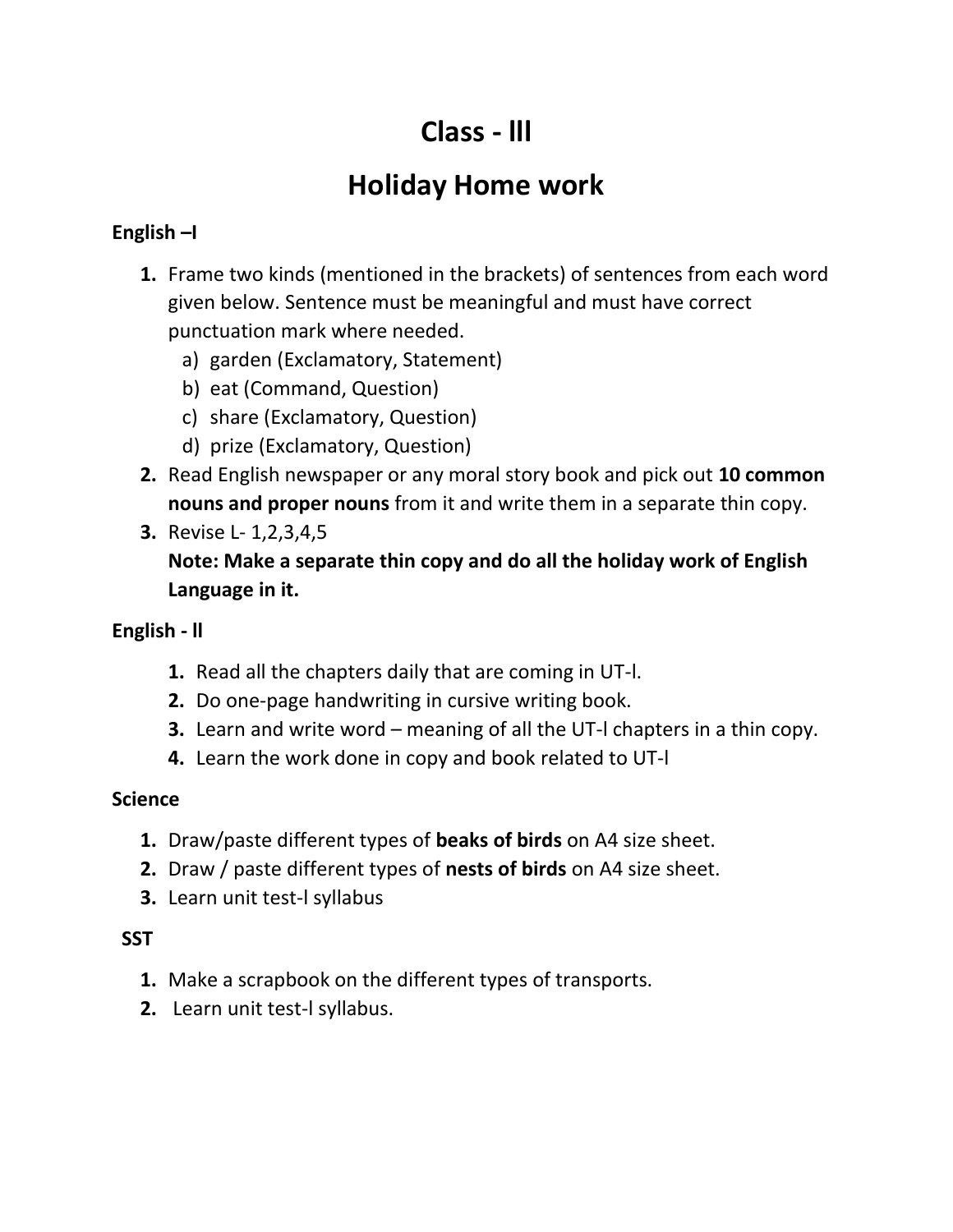# **Class - lll**

## **Holiday Home work**

## **English –I**

- **1.** Frame two kinds (mentioned in the brackets) of sentences from each word given below. Sentence must be meaningful and must have correct punctuation mark where needed.
	- a) garden (Exclamatory, Statement)
	- b) eat (Command, Question)
	- c) share (Exclamatory, Question)
	- d) prize (Exclamatory, Question)
- **2.** Read English newspaper or any moral story book and pick out **10 common nouns and proper nouns** from it and write them in a separate thin copy.
- **3.** Revise L- 1,2,3,4,5

**Note: Make a separate thin copy and do all the holiday work of English Language in it.**

## **English - ll**

- **1.** Read all the chapters daily that are coming in UT-l.
- **2.** Do one-page handwriting in cursive writing book.
- **3.** Learn and write word meaning of all the UT-l chapters in a thin copy.
- **4.** Learn the work done in copy and book related to UT-l

## **Science**

- **1.** Draw/paste different types of **beaks of birds** on A4 size sheet.
- **2.** Draw / paste different types of **nests of birds** on A4 size sheet.
- **3.** Learn unit test-l syllabus

## **SST**

- **1.** Make a scrapbook on the different types of transports.
- **2.** Learn unit test-l syllabus.